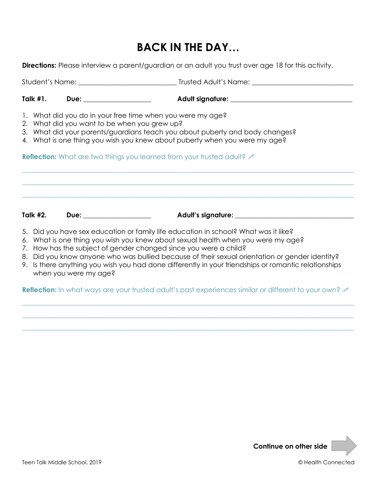## **BACK IN THE DAY…**

**Directions:** Please interview a parent/guardian or an adult you trust over age 18 for this activity.

Student's Name: **\_\_\_\_\_\_\_\_\_\_\_\_\_\_\_\_\_\_\_\_\_\_\_\_\_\_\_\_\_** Trusted Adult's Name: **\_\_\_\_\_\_\_\_\_\_\_\_\_\_\_\_\_\_\_\_\_\_\_\_\_\_\_\_\_\_**

Talk #1. Due: **Due:** Adult signature:

1. What did you do in your free time when you were my age?

- 2. What did you want to be when you grew up?
- 3. What did your parents/guardians teach you about puberty and body changes?
- 4. What is one thing you wish you knew about puberty when you were my age?

**Reflection:** What are two things you learned from your trusted adult?

**Talk #2. Due: \_\_\_\_\_\_\_\_\_\_\_\_\_\_\_\_\_\_\_\_ Adult's signature: \_\_\_\_\_\_\_\_\_\_\_\_\_\_\_\_\_\_\_\_\_\_\_\_\_\_\_\_\_\_\_\_\_\_\_**

- 5. Did you have sex education or family life education in school? What was it like?
- 6. What is one thing you wish you knew about sexual health when you were my age?
- 7. How has the subject of gender changed since you were a child?
- 8. Did you know anyone who was bullied because of their sexual orientation or gender identity?

**\_\_\_\_\_\_\_\_\_\_\_\_\_\_\_\_\_\_\_\_\_\_\_\_\_\_\_\_\_\_\_\_\_\_\_\_\_\_\_\_\_\_\_\_\_\_\_\_\_\_\_\_\_\_\_\_\_\_\_\_\_\_\_\_\_\_\_\_\_\_\_\_\_\_\_\_\_\_\_\_\_\_\_\_\_\_\_\_\_\_\_\_\_\_\_\_\_\_**

**\_\_\_\_\_\_\_\_\_\_\_\_\_\_\_\_\_\_\_\_\_\_\_\_\_\_\_\_\_\_\_\_\_\_\_\_\_\_\_\_\_\_\_\_\_\_\_\_\_\_\_\_\_\_\_\_\_\_\_\_\_\_\_\_\_\_\_\_\_\_\_\_\_\_\_\_\_\_\_\_\_\_\_\_\_\_\_\_\_\_\_\_\_\_\_\_\_\_**

**\_\_\_\_\_\_\_\_\_\_\_\_\_\_\_\_\_\_\_\_\_\_\_\_\_\_\_\_\_\_\_\_\_\_\_\_\_\_\_\_\_\_\_\_\_\_\_\_\_\_\_\_\_\_\_\_\_\_\_\_\_\_\_\_\_\_\_\_\_\_\_\_\_\_\_\_\_\_\_\_\_\_\_\_\_\_\_\_\_\_\_\_\_\_\_\_\_\_**

9. Is there anything you wish you had done differently in your friendships or romantic relationships when you were my age?

**Reflection:** In what ways are your trusted adult's past experiences similar or different to your own?

**\_\_\_\_\_\_\_\_\_\_\_\_\_\_\_\_\_\_\_\_\_\_\_\_\_\_\_\_\_\_\_\_\_\_\_\_\_\_\_\_\_\_\_\_\_\_\_\_\_\_\_\_\_\_\_\_\_\_\_\_\_\_\_\_\_\_\_\_\_\_\_\_\_\_\_\_\_\_\_\_\_\_\_\_\_\_\_\_\_\_\_\_\_\_\_\_\_\_**

**\_\_\_\_\_\_\_\_\_\_\_\_\_\_\_\_\_\_\_\_\_\_\_\_\_\_\_\_\_\_\_\_\_\_\_\_\_\_\_\_\_\_\_\_\_\_\_\_\_\_\_\_\_\_\_\_\_\_\_\_\_\_\_\_\_\_\_\_\_\_\_\_\_\_\_\_\_\_\_\_\_\_\_\_\_\_\_\_\_\_\_\_\_\_\_\_\_\_**

**\_\_\_\_\_\_\_\_\_\_\_\_\_\_\_\_\_\_\_\_\_\_\_\_\_\_\_\_\_\_\_\_\_\_\_\_\_\_\_\_\_\_\_\_\_\_\_\_\_\_\_\_\_\_\_\_\_\_\_\_\_\_\_\_\_\_\_\_\_\_\_\_\_\_\_\_\_\_\_\_\_\_\_\_\_\_\_\_\_\_\_\_\_\_\_\_\_\_**